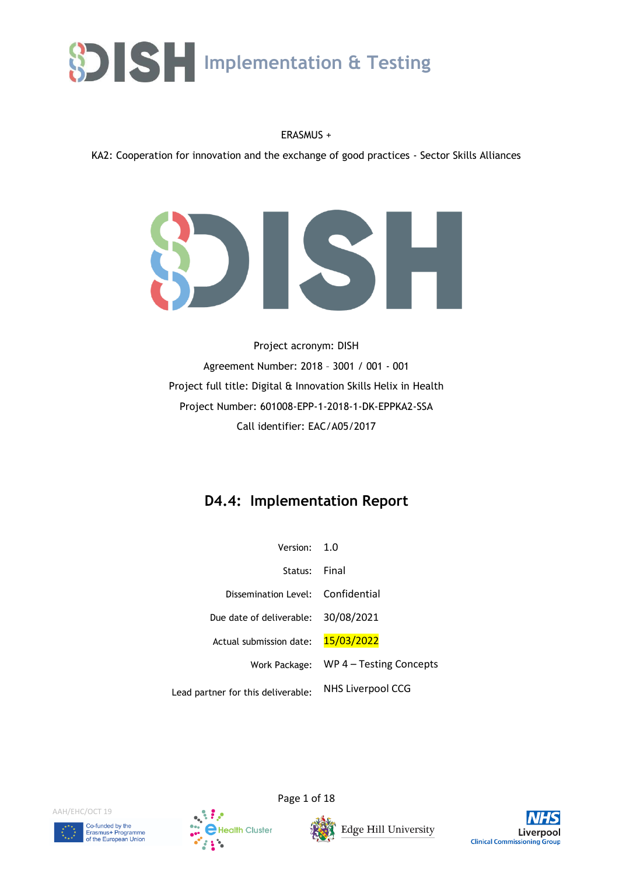

#### ERASMUS +

KA2: Cooperation for innovation and the exchange of good practices - Sector Skills Alliances



Project acronym: DISH Agreement Number: 2018 – 3001 / 001 - 001 Project full title: Digital & Innovation Skills Helix in Health Project Number: 601008-EPP-1-2018-1-DK-EPPKA2-SSA Call identifier: EAC/A05/2017

# **D4.4: Implementation Report**

| Version:                           | 1.0                                   |
|------------------------------------|---------------------------------------|
| Status: Final                      |                                       |
| Dissemination Level: Confidential  |                                       |
| Due date of deliverable:           | 30/08/2021                            |
| Actual submission date:            | 15/03/2022                            |
|                                    | Work Package: WP 4 – Testing Concepts |
| Lead partner for this deliverable: | NHS Liverpool CCG                     |

AAH/EHC/OCT 19





11

**Health Cluster** 



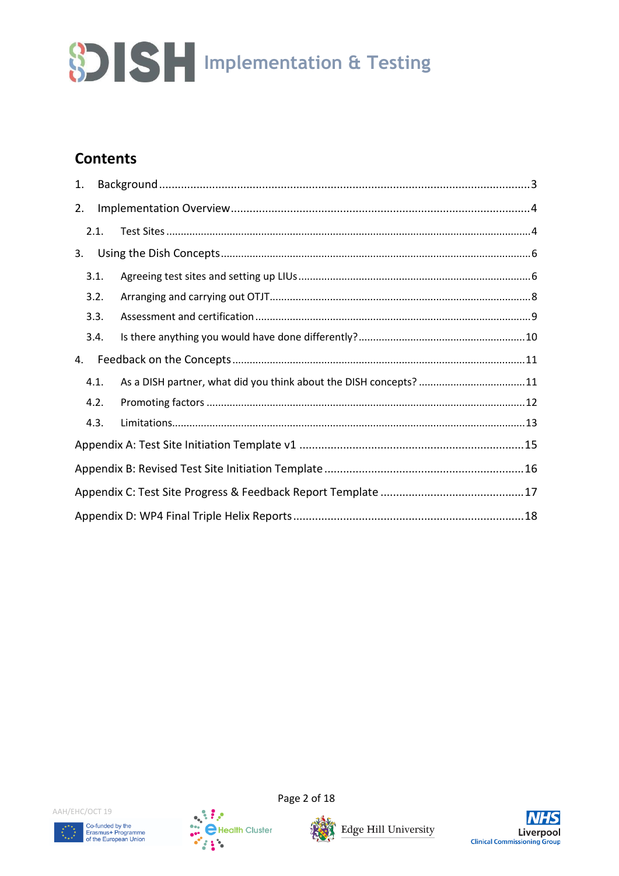# **Contents**

| 1. |      |                                                                   |  |
|----|------|-------------------------------------------------------------------|--|
| 2. |      |                                                                   |  |
|    | 2.1. |                                                                   |  |
| 3. |      |                                                                   |  |
|    | 3.1. |                                                                   |  |
|    | 3.2. |                                                                   |  |
|    | 3.3. |                                                                   |  |
|    | 3.4. |                                                                   |  |
| 4. |      |                                                                   |  |
|    | 4.1. | As a DISH partner, what did you think about the DISH concepts? 11 |  |
|    | 4.2. |                                                                   |  |
|    | 4.3. |                                                                   |  |
|    |      |                                                                   |  |
|    |      |                                                                   |  |
|    |      |                                                                   |  |
|    |      |                                                                   |  |





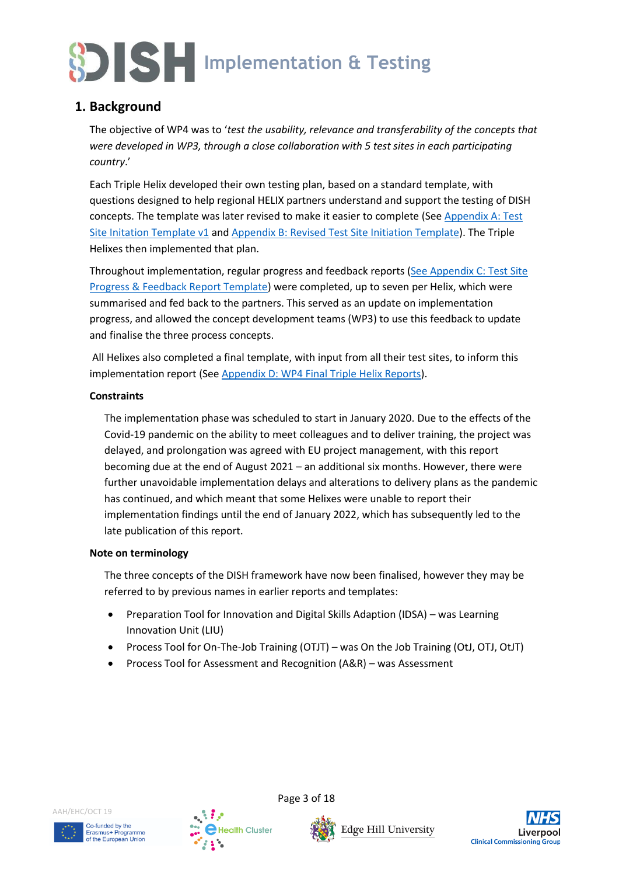## <span id="page-2-0"></span>**1. Background**

The objective of WP4 was to '*test the usability, relevance and transferability of the concepts that were developed in WP3, through a close collaboration with 5 test sites in each participating country*.'

Each Triple Helix developed their own testing plan, based on a standard template, with questions designed to help regional HELIX partners understand and support the testing of DISH concepts. The template was later revised to make it easier to complete (See [Appendix A: Test](#page-14-0)  [Site Initation Template v1](#page-14-0) and [Appendix B: Revised Test Site Initiation Template\)](#page-15-0). The Triple Helixes then implemented that plan.

Throughout implementation, regular progress and feedback reports [\(See Appendix C:](#page-16-0) Test Site [Progress & Feedback Report Template\)](#page-16-0) were completed, up to seven per Helix, which were summarised and fed back to the partners. This served as an update on implementation progress, and allowed the concept development teams (WP3) to use this feedback to update and finalise the three process concepts.

All Helixes also completed a final template, with input from all their test sites, to inform this implementation report (See [Appendix D: WP4 Final Triple Helix Reports\)](#page-17-0).

#### **Constraints**

The implementation phase was scheduled to start in January 2020. Due to the effects of the Covid-19 pandemic on the ability to meet colleagues and to deliver training, the project was delayed, and prolongation was agreed with EU project management, with this report becoming due at the end of August 2021 – an additional six months. However, there were further unavoidable implementation delays and alterations to delivery plans as the pandemic has continued, and which meant that some Helixes were unable to report their implementation findings until the end of January 2022, which has subsequently led to the late publication of this report.

#### **Note on terminology**

The three concepts of the DISH framework have now been finalised, however they may be referred to by previous names in earlier reports and templates:

- Preparation Tool for Innovation and Digital Skills Adaption (IDSA) was Learning Innovation Unit (LIU)
- Process Tool for On-The-Job Training (OTJT) was On the Job Training (OtJ, OTJ, OtJT)
- Process Tool for Assessment and Recognition (A&R) was Assessment







**Health Cluster** 



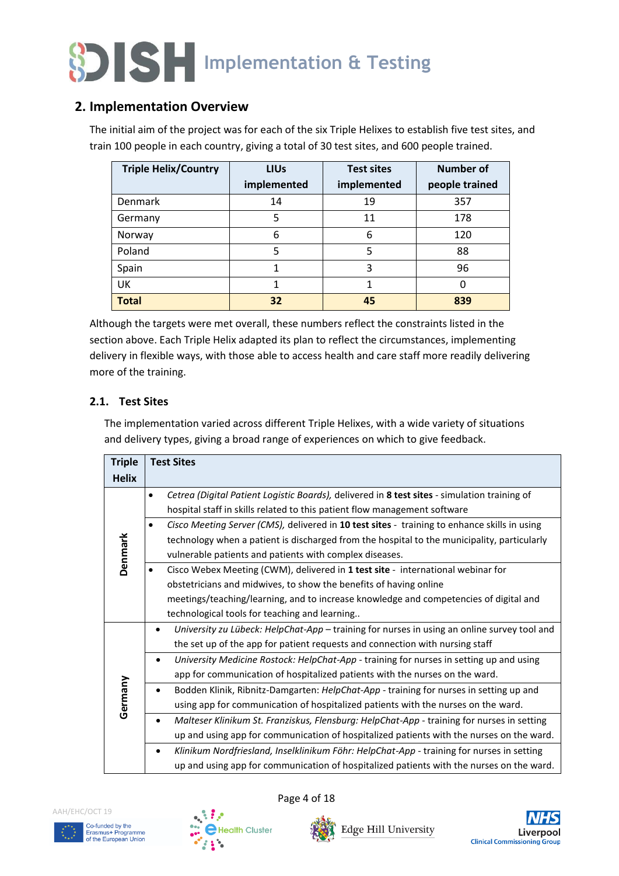

## <span id="page-3-0"></span>**2. Implementation Overview**

The initial aim of the project was for each of the six Triple Helixes to establish five test sites, and train 100 people in each country, giving a total of 30 test sites, and 600 people trained.

| <b>Triple Helix/Country</b> | <b>LIUs</b> | <b>Test sites</b> | <b>Number of</b> |
|-----------------------------|-------------|-------------------|------------------|
|                             | implemented | implemented       | people trained   |
| Denmark                     | 14          | 19                | 357              |
| Germany                     | 5           | 11                | 178              |
| Norway                      | 6           | 6                 | 120              |
| Poland                      | 5           | 5                 | 88               |
| Spain                       |             | 3                 | 96               |
| UK                          | 1           |                   | 0                |
| <b>Total</b>                | 32          | 45                | 839              |

Although the targets were met overall, these numbers reflect the constraints listed in the section above. Each Triple Helix adapted its plan to reflect the circumstances, implementing delivery in flexible ways, with those able to access health and care staff more readily delivering more of the training.

#### <span id="page-3-1"></span>**2.1. Test Sites**

The implementation varied across different Triple Helixes, with a wide variety of situations and delivery types, giving a broad range of experiences on which to give feedback.

| <b>Triple</b> | <b>Test Sites</b>                                                                                         |
|---------------|-----------------------------------------------------------------------------------------------------------|
| <b>Helix</b>  |                                                                                                           |
|               | Cetrea (Digital Patient Logistic Boards), delivered in 8 test sites - simulation training of<br>$\bullet$ |
|               | hospital staff in skills related to this patient flow management software                                 |
|               | Cisco Meeting Server (CMS), delivered in 10 test sites - training to enhance skills in using<br>$\bullet$ |
|               | technology when a patient is discharged from the hospital to the municipality, particularly               |
| Denmark       | vulnerable patients and patients with complex diseases.                                                   |
|               | Cisco Webex Meeting (CWM), delivered in 1 test site - international webinar for                           |
|               | obstetricians and midwives, to show the benefits of having online                                         |
|               | meetings/teaching/learning, and to increase knowledge and competencies of digital and                     |
|               | technological tools for teaching and learning                                                             |
|               | University zu Lübeck: HelpChat-App - training for nurses in using an online survey tool and               |
|               | the set up of the app for patient requests and connection with nursing staff                              |
|               | University Medicine Rostock: HelpChat-App - training for nurses in setting up and using<br>$\bullet$      |
|               | app for communication of hospitalized patients with the nurses on the ward.                               |
|               | Bodden Klinik, Ribnitz-Damgarten: HelpChat-App - training for nurses in setting up and                    |
| Germany       | using app for communication of hospitalized patients with the nurses on the ward.                         |
|               | Malteser Klinikum St. Franziskus, Flensburg: HelpChat-App - training for nurses in setting                |
|               | up and using app for communication of hospitalized patients with the nurses on the ward.                  |
|               | Klinikum Nordfriesland, Inselklinikum Föhr: HelpChat-App - training for nurses in setting                 |
|               | up and using app for communication of hospitalized patients with the nurses on the ward.                  |

AAH/EHC/OCT 19





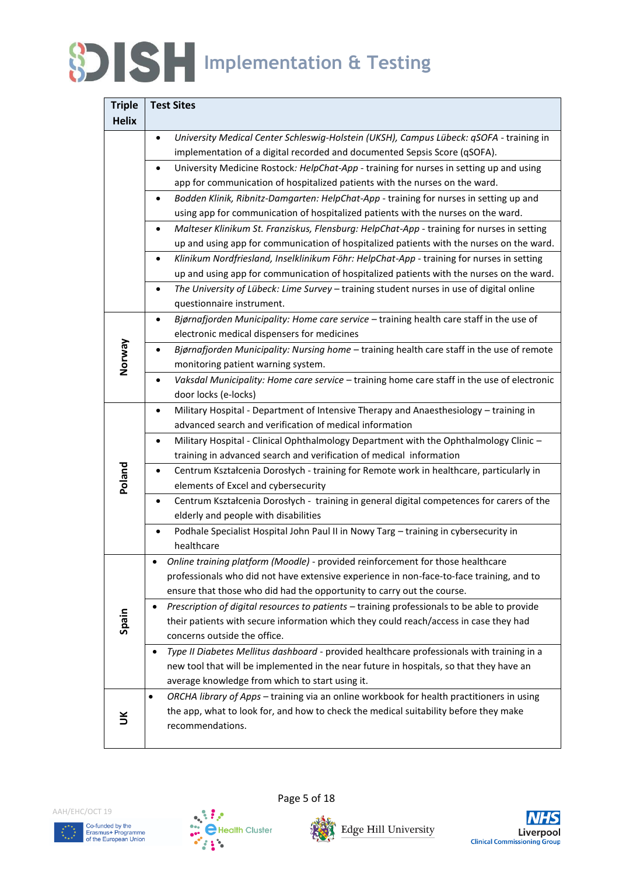| <b>Triple</b>        | <b>Test Sites</b>                                                                                       |
|----------------------|---------------------------------------------------------------------------------------------------------|
| <b>Helix</b>         |                                                                                                         |
|                      | University Medical Center Schleswig-Holstein (UKSH), Campus Lübeck: qSOFA - training in<br>$\bullet$    |
|                      | implementation of a digital recorded and documented Sepsis Score (qSOFA).                               |
|                      | University Medicine Rostock: HelpChat-App - training for nurses in setting up and using<br>$\bullet$    |
|                      | app for communication of hospitalized patients with the nurses on the ward.                             |
|                      | Bodden Klinik, Ribnitz-Damgarten: HelpChat-App - training for nurses in setting up and                  |
|                      | using app for communication of hospitalized patients with the nurses on the ward.                       |
|                      | Malteser Klinikum St. Franziskus, Flensburg: HelpChat-App - training for nurses in setting<br>$\bullet$ |
|                      | up and using app for communication of hospitalized patients with the nurses on the ward.                |
|                      | Klinikum Nordfriesland, Inselklinikum Föhr: HelpChat-App - training for nurses in setting<br>$\bullet$  |
|                      | up and using app for communication of hospitalized patients with the nurses on the ward.                |
|                      | The University of Lübeck: Lime Survey - training student nurses in use of digital online<br>$\bullet$   |
|                      | questionnaire instrument.                                                                               |
|                      | Bjørnafjorden Municipality: Home care service - training health care staff in the use of<br>$\bullet$   |
|                      | electronic medical dispensers for medicines                                                             |
| Veway                | Bjørnafjorden Municipality: Nursing home - training health care staff in the use of remote<br>$\bullet$ |
|                      | monitoring patient warning system.                                                                      |
|                      | Vaksdal Municipality: Home care service - training home care staff in the use of electronic<br>٠        |
|                      | door locks (e-locks)                                                                                    |
|                      | Military Hospital - Department of Intensive Therapy and Anaesthesiology - training in<br>$\bullet$      |
|                      | advanced search and verification of medical information                                                 |
|                      | Military Hospital - Clinical Ophthalmology Department with the Ophthalmology Clinic -<br>$\bullet$      |
|                      | training in advanced search and verification of medical information                                     |
| Poland               | Centrum Kształcenia Dorosłych - training for Remote work in healthcare, particularly in<br>$\bullet$    |
|                      | elements of Excel and cybersecurity                                                                     |
|                      | Centrum Kształcenia Dorosłych - training in general digital competences for carers of the<br>٠          |
|                      | elderly and people with disabilities                                                                    |
|                      | Podhale Specialist Hospital John Paul II in Nowy Targ - training in cybersecurity in<br>$\bullet$       |
|                      | healthcare                                                                                              |
|                      | Online training platform (Moodle) - provided reinforcement for those healthcare                         |
|                      | professionals who did not have extensive experience in non-face-to-face training, and to                |
|                      | ensure that those who did had the opportunity to carry out the course.                                  |
|                      | Prescription of digital resources to patients - training professionals to be able to provide<br>٠       |
| Spain                | their patients with secure information which they could reach/access in case they had                   |
|                      | concerns outside the office.                                                                            |
|                      | Type II Diabetes Mellitus dashboard - provided healthcare professionals with training in a<br>$\bullet$ |
|                      | new tool that will be implemented in the near future in hospitals, so that they have an                 |
|                      | average knowledge from which to start using it.                                                         |
|                      | ORCHA library of Apps - training via an online workbook for health practitioners in using<br>$\bullet$  |
| $\breve{\mathbf{5}}$ | the app, what to look for, and how to check the medical suitability before they make                    |
|                      | recommendations.                                                                                        |
|                      |                                                                                                         |







Page 5 of 18

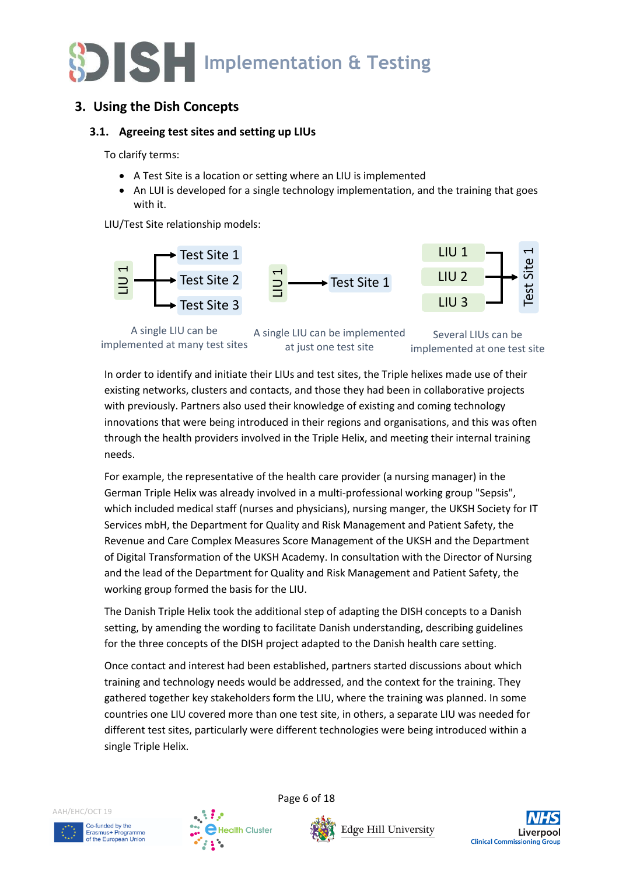

### <span id="page-5-0"></span>**3. Using the Dish Concepts**

#### <span id="page-5-1"></span>**3.1. Agreeing test sites and setting up LIUs**

To clarify terms:

- A Test Site is a location or setting where an LIU is implemented
- An LUI is developed for a single technology implementation, and the training that goes with it.

LIU/Test Site relationship models:



A single LIU can be implemented at many test sites

A single LIU can be implemented at just one test site

Several LIUs can be implemented at one test site

In order to identify and initiate their LIUs and test sites, the Triple helixes made use of their existing networks, clusters and contacts, and those they had been in collaborative projects with previously. Partners also used their knowledge of existing and coming technology innovations that were being introduced in their regions and organisations, and this was often through the health providers involved in the Triple Helix, and meeting their internal training needs.

For example, the representative of the health care provider (a nursing manager) in the German Triple Helix was already involved in a multi-professional working group "Sepsis", which included medical staff (nurses and physicians), nursing manger, the UKSH Society for IT Services mbH, the Department for Quality and Risk Management and Patient Safety, the Revenue and Care Complex Measures Score Management of the UKSH and the Department of Digital Transformation of the UKSH Academy. In consultation with the Director of Nursing and the lead of the Department for Quality and Risk Management and Patient Safety, the working group formed the basis for the LIU. Te<br>
A single LIU c<br>
A single LIU c<br>
mplemented at ma<br>
In order to identify<br>
existing networks,<br>
with previously. Pa<br>
innovations that w<br>
through the health<br>
needs.<br>
For example, the re<br>
German Triple Heli<br>
which included m

The Danish Triple Helix took the additional step of adapting the DISH concepts to a Danish setting, by amending the wording to facilitate Danish understanding, describing guidelines for the three concepts of the DISH project adapted to the Danish health care setting.

Once contact and interest had been established, partners started discussions about which training and technology needs would be addressed, and the context for the training. They gathered together key stakeholders form the LIU, where the training was planned. In some countries one LIU covered more than one test site, in others, a separate LIU was needed for different test sites, particularly were different technologies were being introduced within a single Triple Helix.

AAH/EHC/OCT 19







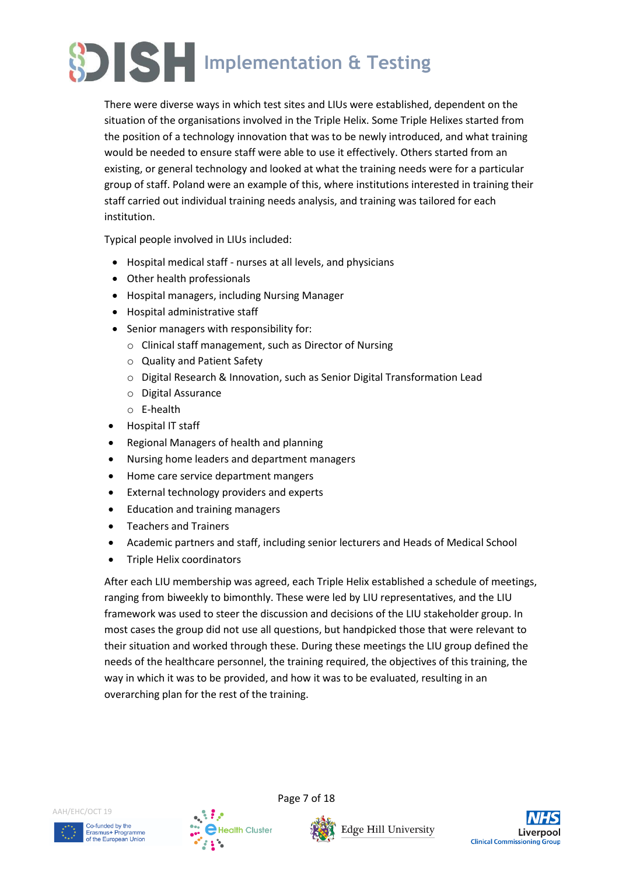

There were diverse ways in which test sites and LIUs were established, dependent on the situation of the organisations involved in the Triple Helix. Some Triple Helixes started from the position of a technology innovation that was to be newly introduced, and what training would be needed to ensure staff were able to use it effectively. Others started from an existing, or general technology and looked at what the training needs were for a particular group of staff. Poland were an example of this, where institutions interested in training their staff carried out individual training needs analysis, and training was tailored for each institution.

Typical people involved in LIUs included:

- Hospital medical staff nurses at all levels, and physicians
- Other health professionals
- Hospital managers, including Nursing Manager
- Hospital administrative staff
- Senior managers with responsibility for:
	- o Clinical staff management, such as Director of Nursing
	- o Quality and Patient Safety
	- o Digital Research & Innovation, such as Senior Digital Transformation Lead
	- o Digital Assurance
	- o E-health
- Hospital IT staff
- Regional Managers of health and planning
- Nursing home leaders and department managers
- Home care service department mangers
- External technology providers and experts
- Education and training managers
- Teachers and Trainers
- Academic partners and staff, including senior lecturers and Heads of Medical School
- Triple Helix coordinators

After each LIU membership was agreed, each Triple Helix established a schedule of meetings, ranging from biweekly to bimonthly. These were led by LIU representatives, and the LIU framework was used to steer the discussion and decisions of the LIU stakeholder group. In most cases the group did not use all questions, but handpicked those that were relevant to their situation and worked through these. During these meetings the LIU group defined the needs of the healthcare personnel, the training required, the objectives of this training, the way in which it was to be provided, and how it was to be evaluated, resulting in an overarching plan for the rest of the training.



Page 7 of 18



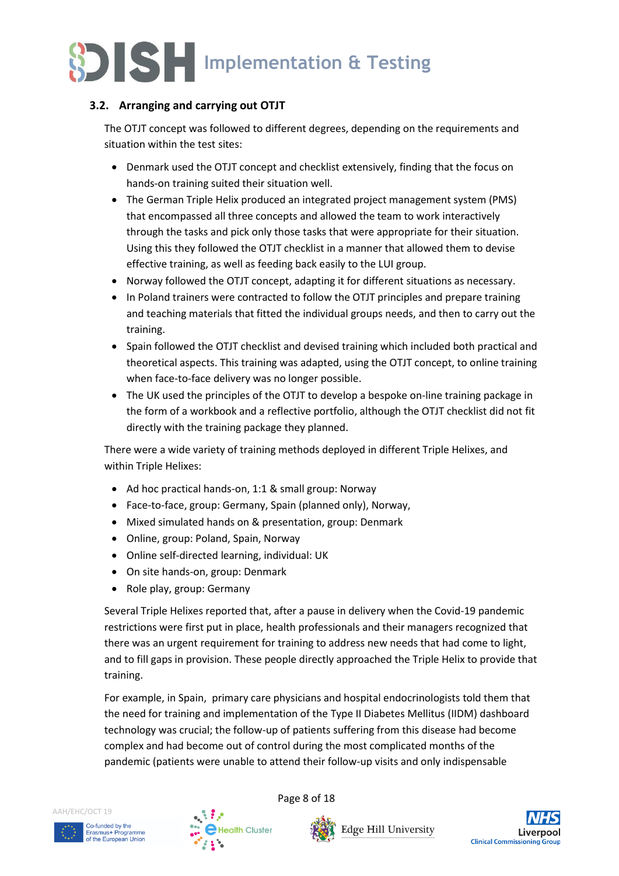

#### <span id="page-7-0"></span>**3.2. Arranging and carrying out OTJT**

The OTJT concept was followed to different degrees, depending on the requirements and situation within the test sites:

- Denmark used the OTJT concept and checklist extensively, finding that the focus on hands-on training suited their situation well.
- The German Triple Helix produced an integrated project management system (PMS) that encompassed all three concepts and allowed the team to work interactively through the tasks and pick only those tasks that were appropriate for their situation. Using this they followed the OTJT checklist in a manner that allowed them to devise effective training, as well as feeding back easily to the LUI group.
- Norway followed the OTJT concept, adapting it for different situations as necessary.
- In Poland trainers were contracted to follow the OTJT principles and prepare training and teaching materials that fitted the individual groups needs, and then to carry out the training.
- Spain followed the OTJT checklist and devised training which included both practical and theoretical aspects. This training was adapted, using the OTJT concept, to online training when face-to-face delivery was no longer possible.
- The UK used the principles of the OTJT to develop a bespoke on-line training package in the form of a workbook and a reflective portfolio, although the OTJT checklist did not fit directly with the training package they planned.

There were a wide variety of training methods deployed in different Triple Helixes, and within Triple Helixes:

- Ad hoc practical hands-on, 1:1 & small group: Norway
- Face-to-face, group: Germany, Spain (planned only), Norway,
- Mixed simulated hands on & presentation, group: Denmark
- Online, group: Poland, Spain, Norway
- Online self-directed learning, individual: UK
- On site hands-on, group: Denmark
- Role play, group: Germany

Several Triple Helixes reported that, after a pause in delivery when the Covid-19 pandemic restrictions were first put in place, health professionals and their managers recognized that there was an urgent requirement for training to address new needs that had come to light, and to fill gaps in provision. These people directly approached the Triple Helix to provide that training.

For example, in Spain, primary care physicians and hospital endocrinologists told them that the need for training and implementation of the Type II Diabetes Mellitus (IIDM) dashboard technology was crucial; the follow-up of patients suffering from this disease had become complex and had become out of control during the most complicated months of the pandemic (patients were unable to attend their follow-up visits and only indispensable

AAH/EHC/OCT 19







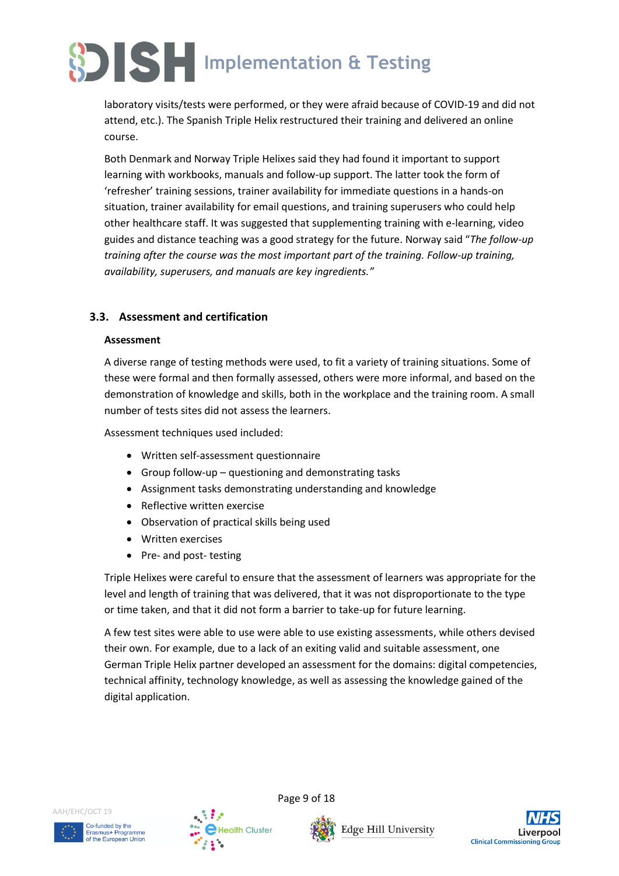laboratory visits/tests were performed, or they were afraid because of COVID-19 and did not attend, etc.). The Spanish Triple Helix restructured their training and delivered an online course.

Both Denmark and Norway Triple Helixes said they had found it important to support learning with workbooks, manuals and follow-up support. The latter took the form of 'refresher' training sessions, trainer availability for immediate questions in a hands-on situation, trainer availability for email questions, and training superusers who could help other healthcare staff. It was suggested that supplementing training with e-learning, video guides and distance teaching was a good strategy for the future. Norway said "*The follow-up training after the course was the most important part of the training. Follow-up training, availability, superusers, and manuals are key ingredients."*

### <span id="page-8-0"></span>**3.3. Assessment and certification**

#### **Assessment**

A diverse range of testing methods were used, to fit a variety of training situations. Some of these were formal and then formally assessed, others were more informal, and based on the demonstration of knowledge and skills, both in the workplace and the training room. A small number of tests sites did not assess the learners.

Assessment techniques used included:

- Written self-assessment questionnaire
- Group follow-up questioning and demonstrating tasks
- Assignment tasks demonstrating understanding and knowledge
- Reflective written exercise
- Observation of practical skills being used
- Written exercises
- Pre- and post- testing

Triple Helixes were careful to ensure that the assessment of learners was appropriate for the level and length of training that was delivered, that it was not disproportionate to the type or time taken, and that it did not form a barrier to take-up for future learning.

A few test sites were able to use were able to use existing assessments, while others devised their own. For example, due to a lack of an exiting valid and suitable assessment, one German Triple Helix partner developed an assessment for the domains: digital competencies, technical affinity, technology knowledge, as well as assessing the knowledge gained of the digital application.







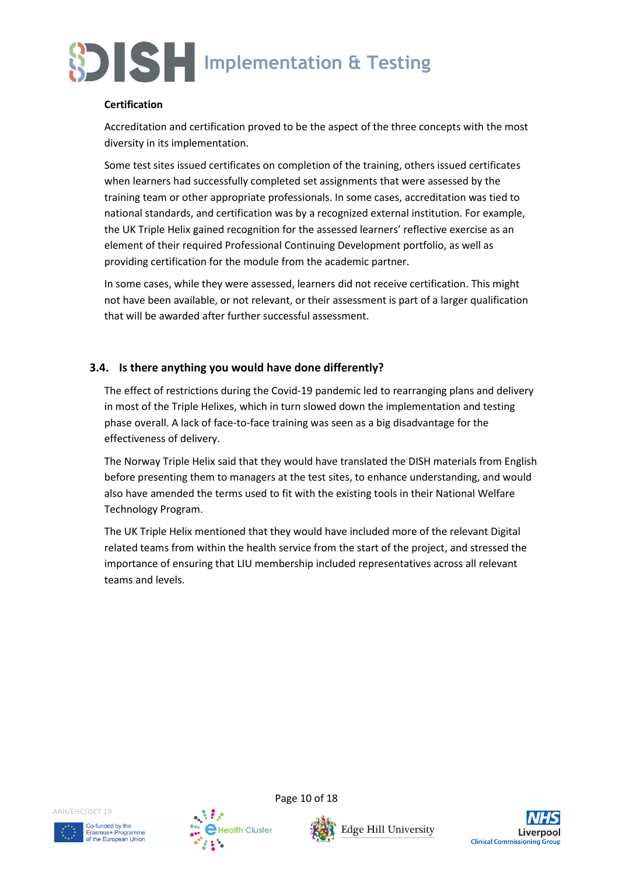

#### **Certification**

Accreditation and certification proved to be the aspect of the three concepts with the most diversity in its implementation.

Some test sites issued certificates on completion of the training, others issued certificates when learners had successfully completed set assignments that were assessed by the training team or other appropriate professionals. In some cases, accreditation was tied to national standards, and certification was by a recognized external institution. For example, the UK Triple Helix gained recognition for the assessed learners' reflective exercise as an element of their required Professional Continuing Development portfolio, as well as providing certification for the module from the academic partner.

In some cases, while they were assessed, learners did not receive certification. This might not have been available, or not relevant, or their assessment is part of a larger qualification that will be awarded after further successful assessment.

#### <span id="page-9-0"></span>**3.4. Is there anything you would have done differently?**

The effect of restrictions during the Covid-19 pandemic led to rearranging plans and delivery in most of the Triple Helixes, which in turn slowed down the implementation and testing phase overall. A lack of face-to-face training was seen as a big disadvantage for the effectiveness of delivery.

The Norway Triple Helix said that they would have translated the DISH materials from English before presenting them to managers at the test sites, to enhance understanding, and would also have amended the terms used to fit with the existing tools in their National Welfare Technology Program.

The UK Triple Helix mentioned that they would have included more of the relevant Digital related teams from within the health service from the start of the project, and stressed the importance of ensuring that LIU membership included representatives across all relevant teams and levels.





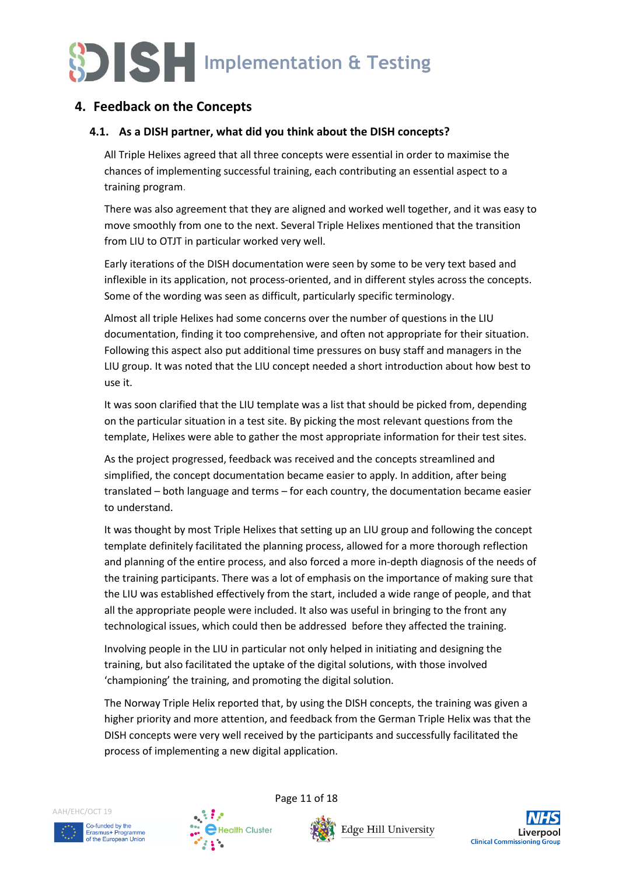# <span id="page-10-0"></span>**4. Feedback on the Concepts**

#### <span id="page-10-1"></span>**4.1. As a DISH partner, what did you think about the DISH concepts?**

All Triple Helixes agreed that all three concepts were essential in order to maximise the chances of implementing successful training, each contributing an essential aspect to a training program.

There was also agreement that they are aligned and worked well together, and it was easy to move smoothly from one to the next. Several Triple Helixes mentioned that the transition from LIU to OTJT in particular worked very well.

Early iterations of the DISH documentation were seen by some to be very text based and inflexible in its application, not process-oriented, and in different styles across the concepts. Some of the wording was seen as difficult, particularly specific terminology.

Almost all triple Helixes had some concerns over the number of questions in the LIU documentation, finding it too comprehensive, and often not appropriate for their situation. Following this aspect also put additional time pressures on busy staff and managers in the LIU group. It was noted that the LIU concept needed a short introduction about how best to use it.

It was soon clarified that the LIU template was a list that should be picked from, depending on the particular situation in a test site. By picking the most relevant questions from the template, Helixes were able to gather the most appropriate information for their test sites.

As the project progressed, feedback was received and the concepts streamlined and simplified, the concept documentation became easier to apply. In addition, after being translated – both language and terms – for each country, the documentation became easier to understand.

It was thought by most Triple Helixes that setting up an LIU group and following the concept template definitely facilitated the planning process, allowed for a more thorough reflection and planning of the entire process, and also forced a more in-depth diagnosis of the needs of the training participants. There was a lot of emphasis on the importance of making sure that the LIU was established effectively from the start, included a wide range of people, and that all the appropriate people were included. It also was useful in bringing to the front any technological issues, which could then be addressed before they affected the training.

Involving people in the LIU in particular not only helped in initiating and designing the training, but also facilitated the uptake of the digital solutions, with those involved 'championing' the training, and promoting the digital solution.

The Norway Triple Helix reported that, by using the DISH concepts, the training was given a higher priority and more attention, and feedback from the German Triple Helix was that the DISH concepts were very well received by the participants and successfully facilitated the process of implementing a new digital application.

AAH/EHC/OCT 19





Page 11 of 18



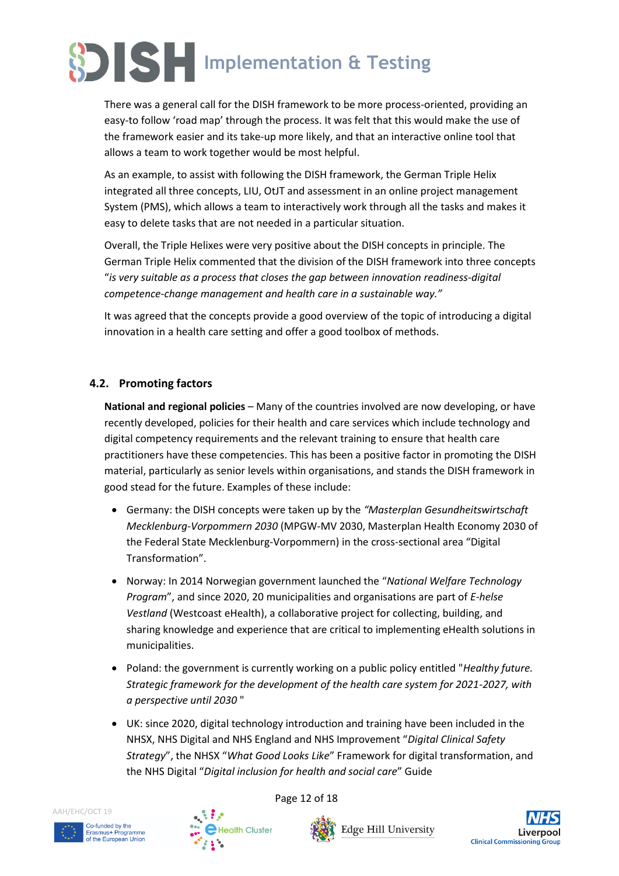

There was a general call for the DISH framework to be more process-oriented, providing an easy-to follow 'road map' through the process. It was felt that this would make the use of the framework easier and its take-up more likely, and that an interactive online tool that allows a team to work together would be most helpful.

As an example, to assist with following the DISH framework, the German Triple Helix integrated all three concepts, LIU, OtJT and assessment in an online project management System (PMS), which allows a team to interactively work through all the tasks and makes it easy to delete tasks that are not needed in a particular situation.

Overall, the Triple Helixes were very positive about the DISH concepts in principle. The German Triple Helix commented that the division of the DISH framework into three concepts "*is very suitable as a process that closes the gap between innovation readiness-digital competence-change management and health care in a sustainable way."*

It was agreed that the concepts provide a good overview of the topic of introducing a digital innovation in a health care setting and offer a good toolbox of methods.

#### <span id="page-11-0"></span>**4.2. Promoting factors**

**National and regional policies** – Many of the countries involved are now developing, or have recently developed, policies for their health and care services which include technology and digital competency requirements and the relevant training to ensure that health care practitioners have these competencies. This has been a positive factor in promoting the DISH material, particularly as senior levels within organisations, and stands the DISH framework in good stead for the future. Examples of these include:

- Germany: the DISH concepts were taken up by the *"Masterplan Gesundheitswirtschaft Mecklenburg-Vorpommern 2030* (MPGW-MV 2030, Masterplan Health Economy 2030 of the Federal State Mecklenburg-Vorpommern) in the cross-sectional area "Digital Transformation".
- Norway: In 2014 Norwegian government launched the "*National Welfare Technology Program*", and since 2020, 20 municipalities and organisations are part of *E-helse Vestland* (Westcoast eHealth), a collaborative project for collecting, building, and sharing knowledge and experience that are critical to implementing eHealth solutions in municipalities.
- Poland: the government is currently working on a public policy entitled "*Healthy future. Strategic framework for the development of the health care system for 2021-2027, with a perspective until 2030* "
- UK: since 2020, digital technology introduction and training have been included in the NHSX, NHS Digital and NHS England and NHS Improvement "*Digital Clinical Safety Strategy*", the NHSX "*What Good Looks Like*" Framework for digital transformation, and the NHS Digital "*Digital inclusion for health and social care*" Guide







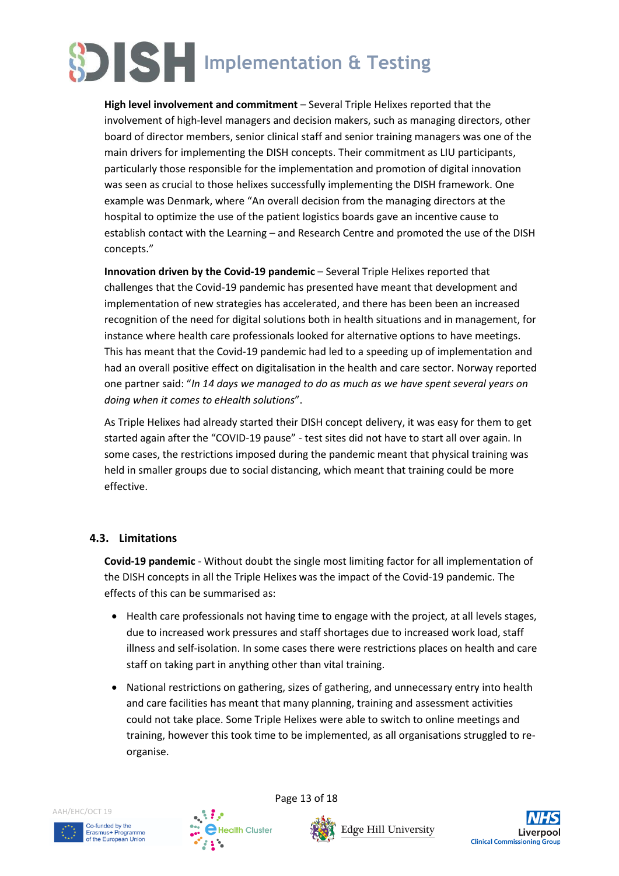**High level involvement and commitment** – Several Triple Helixes reported that the involvement of high-level managers and decision makers, such as managing directors, other board of director members, senior clinical staff and senior training managers was one of the main drivers for implementing the DISH concepts. Their commitment as LIU participants, particularly those responsible for the implementation and promotion of digital innovation was seen as crucial to those helixes successfully implementing the DISH framework. One example was Denmark, where "An overall decision from the managing directors at the hospital to optimize the use of the patient logistics boards gave an incentive cause to establish contact with the Learning – and Research Centre and promoted the use of the DISH concepts."

**Innovation driven by the Covid-19 pandemic** – Several Triple Helixes reported that challenges that the Covid-19 pandemic has presented have meant that development and implementation of new strategies has accelerated, and there has been been an increased recognition of the need for digital solutions both in health situations and in management, for instance where health care professionals looked for alternative options to have meetings. This has meant that the Covid-19 pandemic had led to a speeding up of implementation and had an overall positive effect on digitalisation in the health and care sector. Norway reported one partner said: "*In 14 days we managed to do as much as we have spent several years on doing when it comes to eHealth solutions*".

As Triple Helixes had already started their DISH concept delivery, it was easy for them to get started again after the "COVID-19 pause" - test sites did not have to start all over again. In some cases, the restrictions imposed during the pandemic meant that physical training was held in smaller groups due to social distancing, which meant that training could be more effective.

#### <span id="page-12-0"></span>**4.3. Limitations**

**Covid-19 pandemic** - Without doubt the single most limiting factor for all implementation of the DISH concepts in all the Triple Helixes was the impact of the Covid-19 pandemic. The effects of this can be summarised as:

- Health care professionals not having time to engage with the project, at all levels stages, due to increased work pressures and staff shortages due to increased work load, staff illness and self-isolation. In some cases there were restrictions places on health and care staff on taking part in anything other than vital training.
- National restrictions on gathering, sizes of gathering, and unnecessary entry into health and care facilities has meant that many planning, training and assessment activities could not take place. Some Triple Helixes were able to switch to online meetings and training, however this took time to be implemented, as all organisations struggled to reorganise.

AAH/EHC/OCT 19



Page 13 of 18



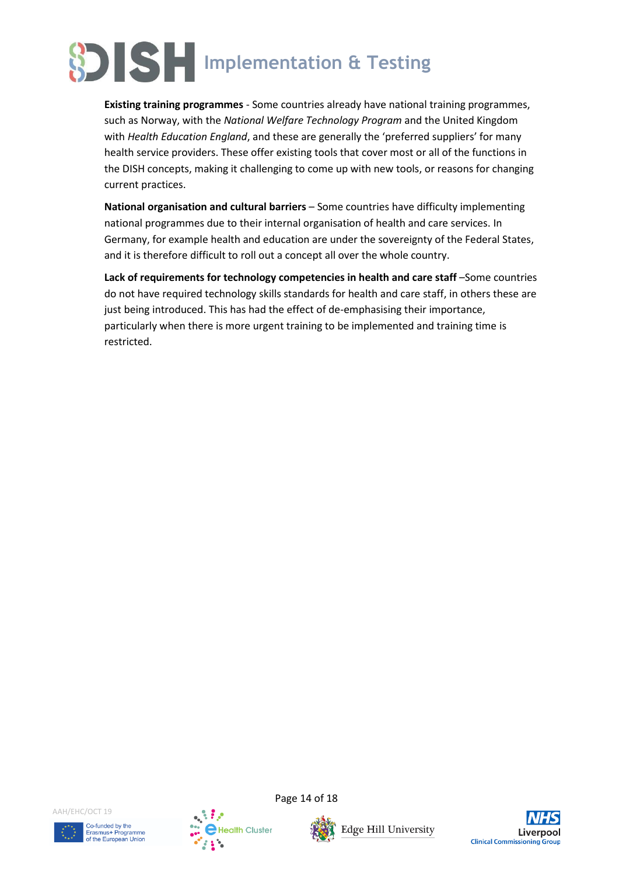

**Existing training programmes** - Some countries already have national training programmes, such as Norway, with the *National Welfare Technology Program* and the United Kingdom with *Health Education England*, and these are generally the 'preferred suppliers' for many health service providers. These offer existing tools that cover most or all of the functions in the DISH concepts, making it challenging to come up with new tools, or reasons for changing current practices.

**National organisation and cultural barriers** – Some countries have difficulty implementing national programmes due to their internal organisation of health and care services. In Germany, for example health and education are under the sovereignty of the Federal States, and it is therefore difficult to roll out a concept all over the whole country.

**Lack of requirements for technology competencies in health and care staff** –Some countries do not have required technology skills standards for health and care staff, in others these are just being introduced. This has had the effect of de-emphasising their importance, particularly when there is more urgent training to be implemented and training time is restricted.







Page 14 of 18

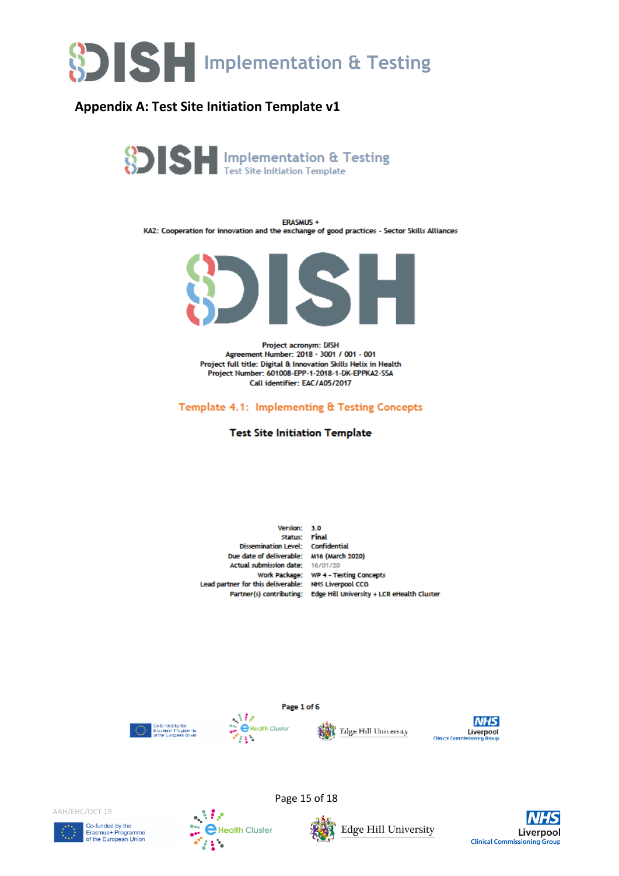

### <span id="page-14-0"></span>**Appendix A: Test Site Initiation Template v1**



ERASMUS + KA2: Cooperation for innovation and the exchange of good practices - Sector Skills Alliances



Project acronym: DISH Agreement Number: 2018 - 3001 / 001 - 001 Project full title: Digital & Innovation Skills Helix in Health Project Number: 601008-EPP-1-2018-1-DK-EPPKA2-SSA Call identifier: EAC/A05/2017

Template 4.1: Implementing & Testing Concepts

**Test Site Initiation Template** 

Version: 3.0 Status: Final Dissemination Level: Confidential Due date of deliverable: M16 (March 2020) Actual submission date: 16/01/20 Work Package: WP 4 - Testing Concepts Lead partner for this deliverable: NHS Liverpool CCG Partner(s) contributing: Edge Hill University + LCR eHealth Cluster

Page 1 of 6

Page 15 of 18





**SSK** Edge Hill University



AAH/EHC/OCT 19







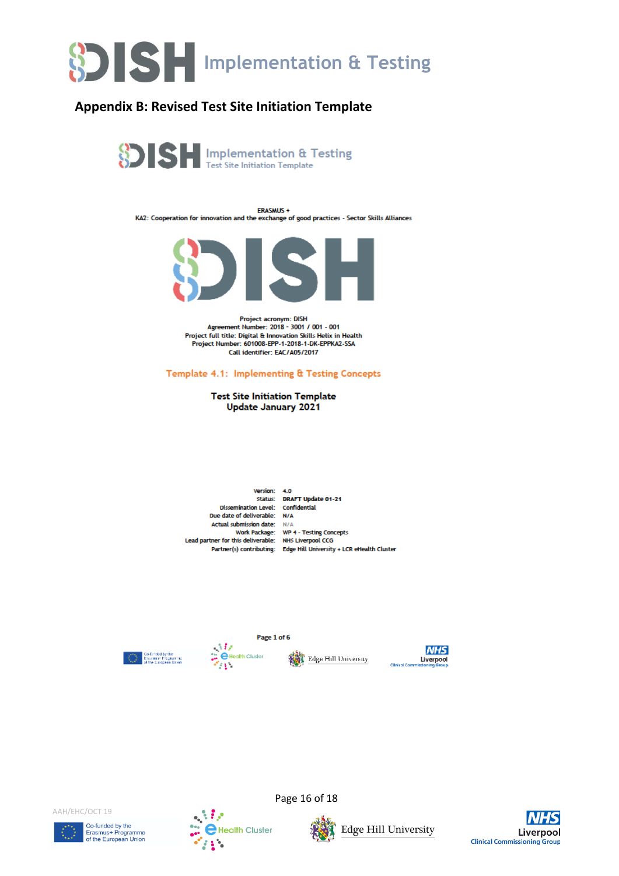

# <span id="page-15-0"></span>**Appendix B: Revised Test Site Initiation Template**



ERASMUS + KA2: Cooperation for innovation and the exchange of good practices - Sector Skills Alliances



Project acronym: DISH Agreement Number: 2018 - 3001 / 001 - 001 Project full title: Digital & Innovation Skills Helix in Health Project Number: 601008-EPP-1-2018-1-DK-EPPKA2-SSA Call identifier: EAC/A05/2017

#### Template 4.1: Implementing & Testing Concepts

**Test Site Initiation Template** Update January 2021

Version: 4.0 Status: DRAFT Update 01-21 Dissemination Level: Confidential Due date of deliverable: N/A Actual submission date: N/A Work Package: WP 4 - Testing Concepts Lead partner for this deliverable: NHS Liverpool CCG Partner(s) contributing: Edge Hill University + LCR eHealth Cluster





**e** Health Cluster

Edge Hill University











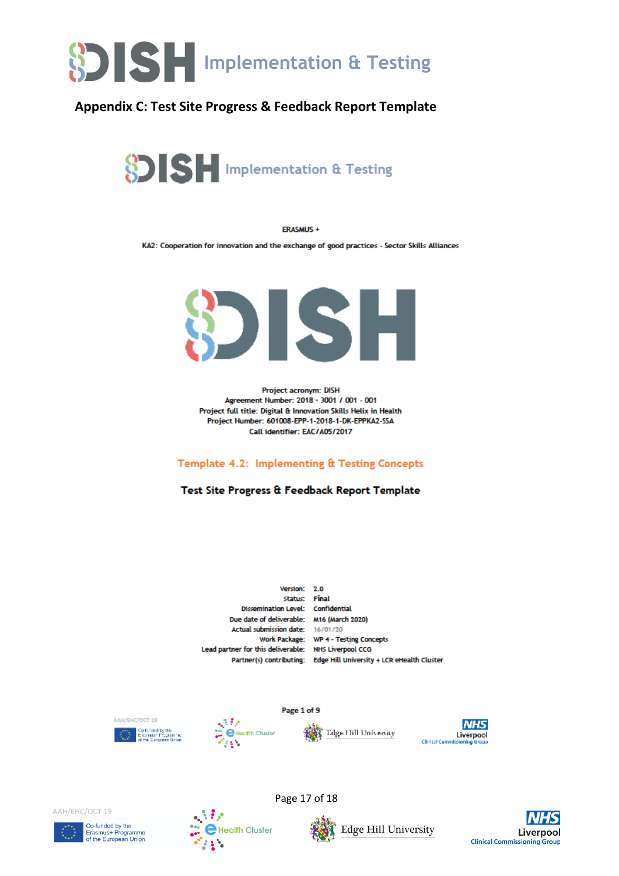

### <span id="page-16-0"></span>**Appendix C: Test Site Progress & Feedback Report Template**



**FRASMUS +** 

KA2: Cooperation for innovation and the exchange of good practices - Sector Skills Alliances



Project acronym: DISH Agreement Number: 2018 - 3001 / 001 - 001 Project full title: Digital & Innovation Skills Helix in Health Project Number: 601008-EPP-1-2018-1-DK-EPPKA2-SSA Call identifier: EAC/A05/2017

Template 4.2: Implementing & Testing Concepts

Test Site Progress & Feedback Report Template

Version: 2.0 Status: Final Dissemination Level: Confidential Due date of deliverable: M16 (March 2020) Actual submission date: 16/01/20 Work Package: WP 4 - Testing Concepts Lead partner for this deliverable: NHS Liverpool CCG Partner(s) contributing: Edge Hill University + LCR eHealth Cluster

Page 1 of 9





Edge Hill University



AAH/EHC/OCT 19





Page 17 of 18



Liverpool **Clinical Commissioning Group**